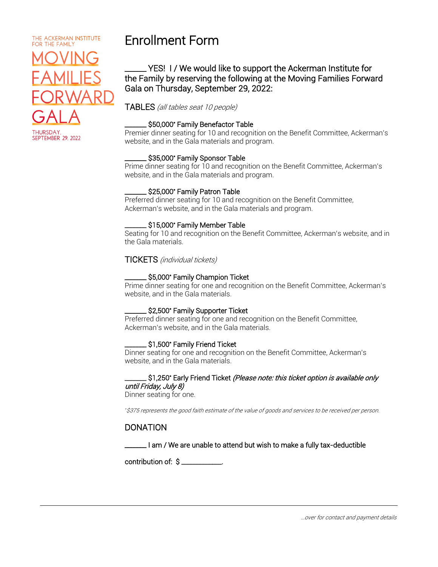### THE ACKERMAN INSTITUTE FOR THE FAMILY l Í J ι ī ֧ׅ֧֕֜֝֜  $\overline{\phantom{a}}$ **HURSDAY SEPTEMBER 29, 2022**

# Enrollment Form

# \_\_\_\_\_\_\_ YES! I / We would like to support the Ackerman Institute for the Family by reserving the following at the Moving Families Forward Gala on Thursday, September 29, 2022:

# TABLES (all tables seat 10 people)

## \_\_\_\_\_\_\_ \$50,000\* Family Benefactor Table

Premier dinner seating for 10 and recognition on the Benefit Committee, Ackerman's website, and in the Gala materials and program.

#### \_\_\_\_\_\_\_ \$35,000\* Family Sponsor Table

Prime dinner seating for 10 and recognition on the Benefit Committee, Ackerman's website, and in the Gala materials and program.

#### \_\_\_\_\_\_\_ \$25,000\* Family Patron Table

Preferred dinner seating for 10 and recognition on the Benefit Committee, Ackerman's website, and in the Gala materials and program.

#### \_\_\_\_\_\_\_ \$15,000\* Family Member Table

Seating for 10 and recognition on the Benefit Committee, Ackerman's website, and in the Gala materials.

#### TICKETS (individual tickets)

#### \_\_\_\_\_\_\_ \$5,000\* Family Champion Ticket

Prime dinner seating for one and recognition on the Benefit Committee, Ackerman's website, and in the Gala materials.

#### \_\_\_\_\_\_\_ \$2,500\* Family Supporter Ticket

Preferred dinner seating for one and recognition on the Benefit Committee, Ackerman's website, and in the Gala materials.

#### \_\_\_\_\_\_\_ \$1,500\* Family Friend Ticket

Dinner seating for one and recognition on the Benefit Committee, Ackerman's website, and in the Gala materials.

#### \_\_\_\_\_\_\$1,250\* Early Friend Ticket *(Please note: this ticket option is available only* until Friday, July 8)

Dinner seating for one.

\*\$375 represents the good faith estimate of the value of goods and services to be received per person.

## DONATION

\_\_\_\_\_\_\_ I am / We are unable to attend but wish to make a fully tax-deductible

contribution of: \$